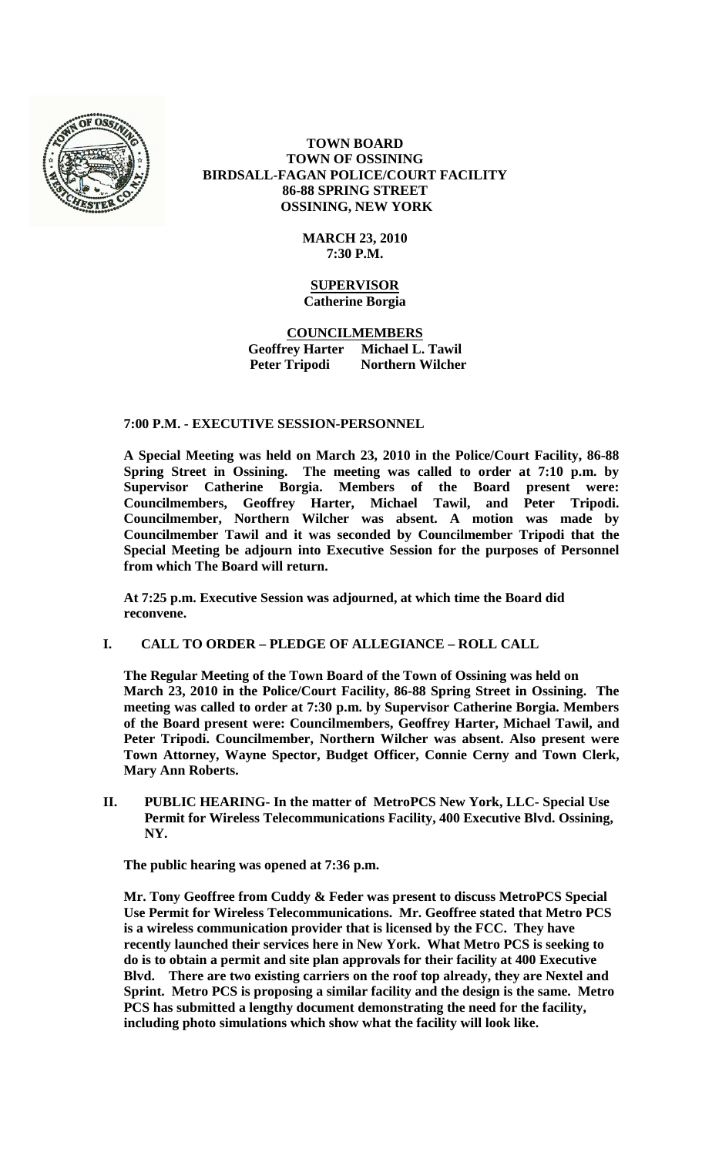

# **TOWN BOARD TOWN OF OSSINING BIRDSALL-FAGAN POLICE/COURT FACILITY 86-88 SPRING STREET OSSINING, NEW YORK**

# **MARCH 23, 2010 7:30 P.M.**

#### **SUPERVISOR Catherine Borgia**

# **COUNCILMEMBERS Geoffrey Harter Michael L. Tawil Peter Tripodi Northern Wilcher**

# **7:00 P.M. - EXECUTIVE SESSION-PERSONNEL**

**A Special Meeting was held on March 23, 2010 in the Police/Court Facility, 86-88 Spring Street in Ossining. The meeting was called to order at 7:10 p.m. by Supervisor Catherine Borgia. Members of the Board present were: Councilmembers, Geoffrey Harter, Michael Tawil, and Peter Tripodi. Councilmember, Northern Wilcher was absent. A motion was made by Councilmember Tawil and it was seconded by Councilmember Tripodi that the Special Meeting be adjourn into Executive Session for the purposes of Personnel from which The Board will return.**

**At 7:25 p.m. Executive Session was adjourned, at which time the Board did reconvene.**

# **I. CALL TO ORDER – PLEDGE OF ALLEGIANCE – ROLL CALL**

**The Regular Meeting of the Town Board of the Town of Ossining was held on March 23, 2010 in the Police/Court Facility, 86-88 Spring Street in Ossining. The meeting was called to order at 7:30 p.m. by Supervisor Catherine Borgia. Members of the Board present were: Councilmembers, Geoffrey Harter, Michael Tawil, and Peter Tripodi. Councilmember, Northern Wilcher was absent. Also present were Town Attorney, Wayne Spector, Budget Officer, Connie Cerny and Town Clerk, Mary Ann Roberts.**

**II. PUBLIC HEARING- In the matter of MetroPCS New York, LLC- Special Use Permit for Wireless Telecommunications Facility, 400 Executive Blvd. Ossining, NY.**

**The public hearing was opened at 7:36 p.m.**

**Mr. Tony Geoffree from Cuddy & Feder was present to discuss MetroPCS Special Use Permit for Wireless Telecommunications. Mr. Geoffree stated that Metro PCS is a wireless communication provider that is licensed by the FCC. They have recently launched their services here in New York. What Metro PCS is seeking to do is to obtain a permit and site plan approvals for their facility at 400 Executive Blvd. There are two existing carriers on the roof top already, they are Nextel and Sprint. Metro PCS is proposing a similar facility and the design is the same. Metro PCS has submitted a lengthy document demonstrating the need for the facility, including photo simulations which show what the facility will look like.**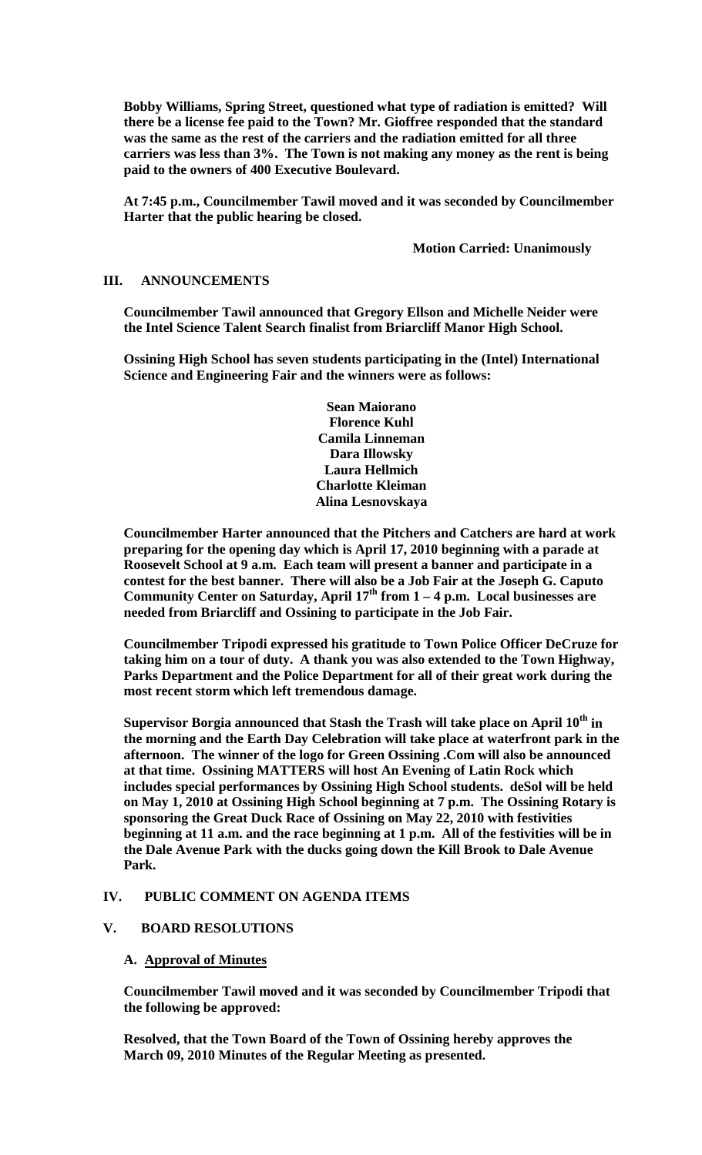**Bobby Williams, Spring Street, questioned what type of radiation is emitted? Will there be a license fee paid to the Town? Mr. Gioffree responded that the standard was the same as the rest of the carriers and the radiation emitted for all three carriers was less than 3%. The Town is not making any money as the rent is being paid to the owners of 400 Executive Boulevard.**

**At 7:45 p.m., Councilmember Tawil moved and it was seconded by Councilmember Harter that the public hearing be closed.**

**Motion Carried: Unanimously**

## **III. ANNOUNCEMENTS**

**Councilmember Tawil announced that Gregory Ellson and Michelle Neider were the Intel Science Talent Search finalist from Briarcliff Manor High School.**

**Ossining High School has seven students participating in the (Intel) International Science and Engineering Fair and the winners were as follows:**

> **Sean Maiorano Florence Kuhl Camila Linneman Dara Illowsky Laura Hellmich Charlotte Kleiman Alina Lesnovskaya**

**Councilmember Harter announced that the Pitchers and Catchers are hard at work preparing for the opening day which is April 17, 2010 beginning with a parade at Roosevelt School at 9 a.m. Each team will present a banner and participate in a contest for the best banner. There will also be a Job Fair at the Joseph G. Caputo**  Community Center on Saturday, April 17<sup>th</sup> from 1 – 4 p.m. Local businesses are **needed from Briarcliff and Ossining to participate in the Job Fair.**

**Councilmember Tripodi expressed his gratitude to Town Police Officer DeCruze for taking him on a tour of duty. A thank you was also extended to the Town Highway, Parks Department and the Police Department for all of their great work during the most recent storm which left tremendous damage.**

**Supervisor Borgia announced that Stash the Trash will take place on April 10th in the morning and the Earth Day Celebration will take place at waterfront park in the afternoon. The winner of the logo for Green Ossining .Com will also be announced at that time. Ossining MATTERS will host An Evening of Latin Rock which includes special performances by Ossining High School students. deSol will be held on May 1, 2010 at Ossining High School beginning at 7 p.m. The Ossining Rotary is sponsoring the Great Duck Race of Ossining on May 22, 2010 with festivities beginning at 11 a.m. and the race beginning at 1 p.m. All of the festivities will be in the Dale Avenue Park with the ducks going down the Kill Brook to Dale Avenue Park.** 

#### **IV. PUBLIC COMMENT ON AGENDA ITEMS**

#### **V. BOARD RESOLUTIONS**

#### **A. Approval of Minutes**

**Councilmember Tawil moved and it was seconded by Councilmember Tripodi that the following be approved:**

**Resolved, that the Town Board of the Town of Ossining hereby approves the March 09, 2010 Minutes of the Regular Meeting as presented.**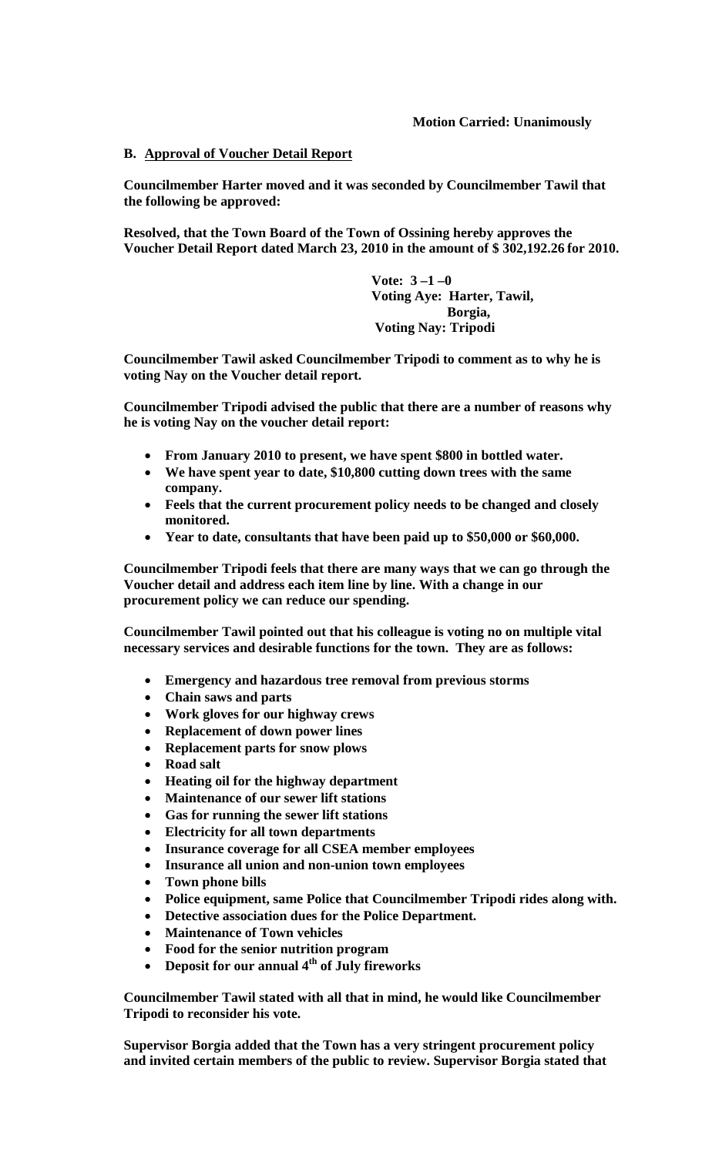# **Motion Carried: Unanimously**

# **B. Approval of Voucher Detail Report**

**Councilmember Harter moved and it was seconded by Councilmember Tawil that the following be approved:**

**Resolved, that the Town Board of the Town of Ossining hereby approves the Voucher Detail Report dated March 23, 2010 in the amount of \$ 302,192.26 for 2010.**

> **Vote: 3 –1 –0 Voting Aye: Harter, Tawil, Borgia, Voting Nay: Tripodi**

**Councilmember Tawil asked Councilmember Tripodi to comment as to why he is voting Nay on the Voucher detail report.**

**Councilmember Tripodi advised the public that there are a number of reasons why he is voting Nay on the voucher detail report:**

- **From January 2010 to present, we have spent \$800 in bottled water.**
- **We have spent year to date, \$10,800 cutting down trees with the same company.**
- **Feels that the current procurement policy needs to be changed and closely monitored.**
- **Year to date, consultants that have been paid up to \$50,000 or \$60,000.**

**Councilmember Tripodi feels that there are many ways that we can go through the Voucher detail and address each item line by line. With a change in our procurement policy we can reduce our spending.**

**Councilmember Tawil pointed out that his colleague is voting no on multiple vital necessary services and desirable functions for the town. They are as follows:**

- **Emergency and hazardous tree removal from previous storms**
- **Chain saws and parts**
- **Work gloves for our highway crews**
- **Replacement of down power lines**
- **Replacement parts for snow plows**
- **Road salt**
- **Heating oil for the highway department**
- **Maintenance of our sewer lift stations**
- **Gas for running the sewer lift stations**
- **Electricity for all town departments**
- **Insurance coverage for all CSEA member employees**
- **Insurance all union and non-union town employees**
- **Town phone bills**
- **Police equipment, same Police that Councilmember Tripodi rides along with.**
- **Detective association dues for the Police Department.**
- **Maintenance of Town vehicles**
- **Food for the senior nutrition program**
- **Deposit for our annual 4th of July fireworks**

**Councilmember Tawil stated with all that in mind, he would like Councilmember Tripodi to reconsider his vote.**

**Supervisor Borgia added that the Town has a very stringent procurement policy and invited certain members of the public to review. Supervisor Borgia stated that**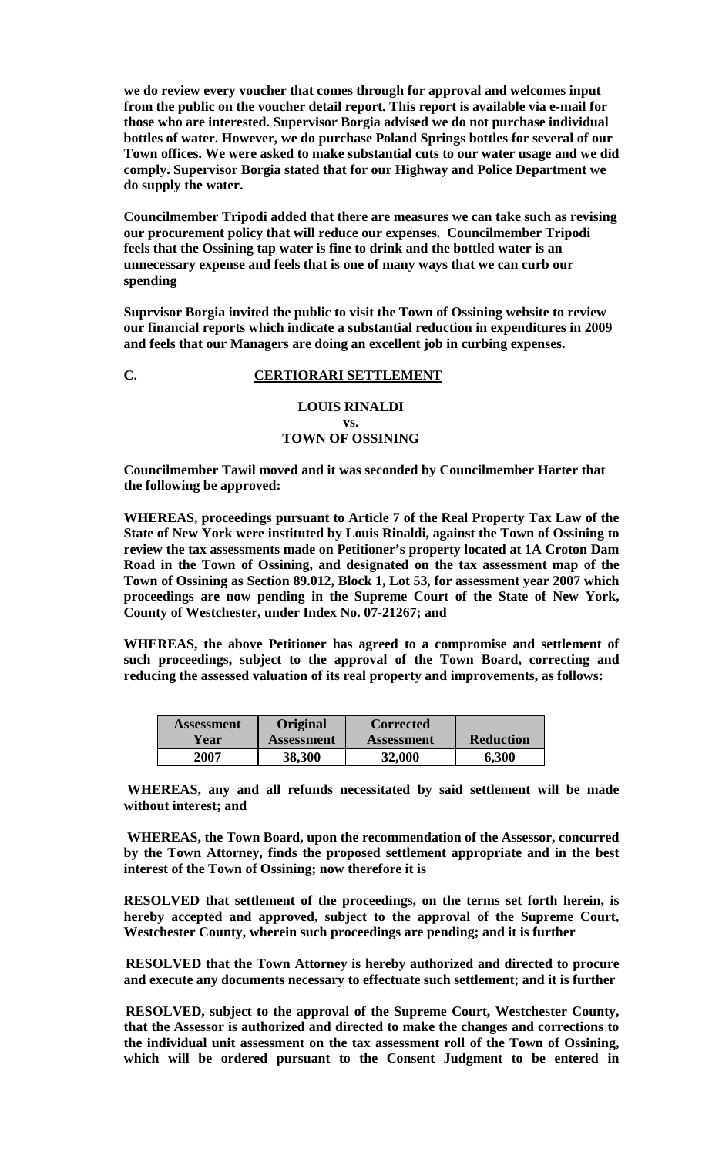**we do review every voucher that comes through for approval and welcomes input from the public on the voucher detail report. This report is available via e-mail for those who are interested. Supervisor Borgia advised we do not purchase individual bottles of water. However, we do purchase Poland Springs bottles for several of our Town offices. We were asked to make substantial cuts to our water usage and we did comply. Supervisor Borgia stated that for our Highway and Police Department we do supply the water.** 

**Councilmember Tripodi added that there are measures we can take such as revising our procurement policy that will reduce our expenses. Councilmember Tripodi feels that the Ossining tap water is fine to drink and the bottled water is an unnecessary expense and feels that is one of many ways that we can curb our spending** 

**Suprvisor Borgia invited the public to visit the Town of Ossining website to review our financial reports which indicate a substantial reduction in expenditures in 2009 and feels that our Managers are doing an excellent job in curbing expenses.**

# **C. CERTIORARI SETTLEMENT**

# **LOUIS RINALDI vs. TOWN OF OSSINING**

**Councilmember Tawil moved and it was seconded by Councilmember Harter that the following be approved:**

**WHEREAS, proceedings pursuant to Article 7 of the Real Property Tax Law of the State of New York were instituted by Louis Rinaldi, against the Town of Ossining to review the tax assessments made on Petitioner's property located at 1A Croton Dam Road in the Town of Ossining, and designated on the tax assessment map of the Town of Ossining as Section 89.012, Block 1, Lot 53, for assessment year 2007 which proceedings are now pending in the Supreme Court of the State of New York, County of Westchester, under Index No. 07-21267; and**

**WHEREAS, the above Petitioner has agreed to a compromise and settlement of such proceedings, subject to the approval of the Town Board, correcting and reducing the assessed valuation of its real property and improvements, as follows:**

| Assessment | <b>Original</b> | <b>Corrected</b>  |                  |
|------------|-----------------|-------------------|------------------|
| Year       | Assessment      | <b>Assessment</b> | <b>Reduction</b> |
| 2007       | 38,300          | 32,000            | 6,300            |

**WHEREAS, any and all refunds necessitated by said settlement will be made without interest; and**

**WHEREAS, the Town Board, upon the recommendation of the Assessor, concurred by the Town Attorney, finds the proposed settlement appropriate and in the best interest of the Town of Ossining; now therefore it is**

**RESOLVED that settlement of the proceedings, on the terms set forth herein, is hereby accepted and approved, subject to the approval of the Supreme Court, Westchester County, wherein such proceedings are pending; and it is further**

**RESOLVED that the Town Attorney is hereby authorized and directed to procure and execute any documents necessary to effectuate such settlement; and it is further**

**RESOLVED, subject to the approval of the Supreme Court, Westchester County, that the Assessor is authorized and directed to make the changes and corrections to the individual unit assessment on the tax assessment roll of the Town of Ossining, which will be ordered pursuant to the Consent Judgment to be entered in**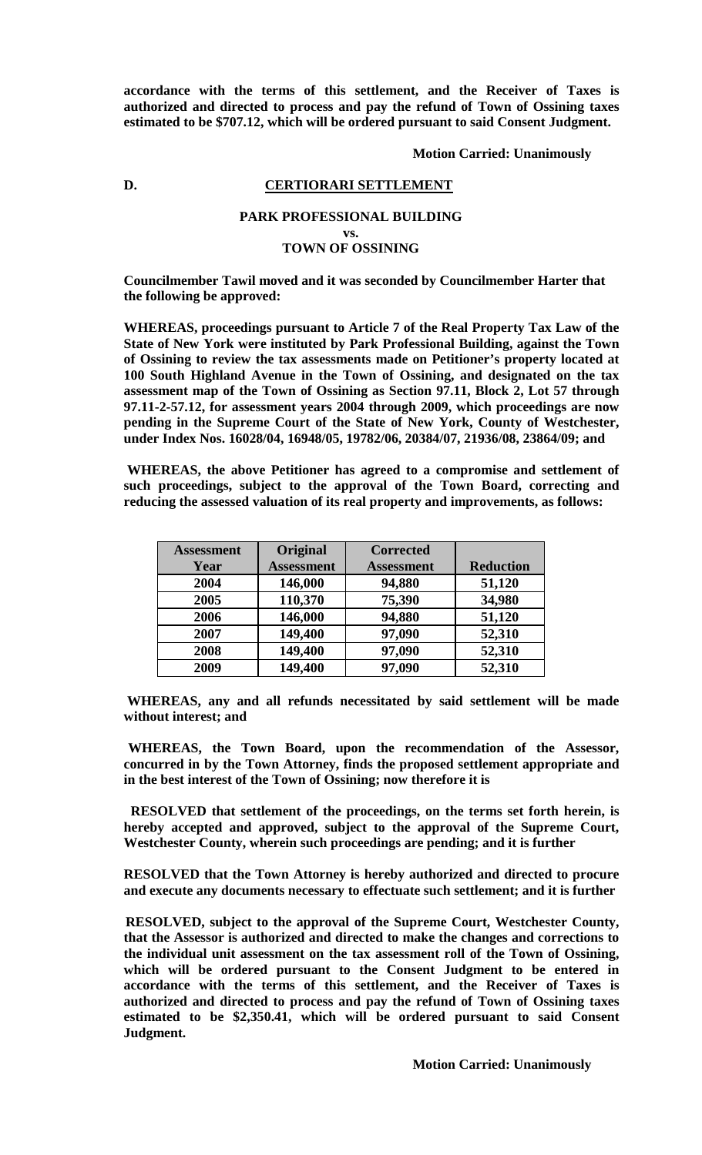**accordance with the terms of this settlement, and the Receiver of Taxes is authorized and directed to process and pay the refund of Town of Ossining taxes estimated to be \$707.12, which will be ordered pursuant to said Consent Judgment.**

**Motion Carried: Unanimously**

# **D. CERTIORARI SETTLEMENT**

# **PARK PROFESSIONAL BUILDING vs. TOWN OF OSSINING**

**Councilmember Tawil moved and it was seconded by Councilmember Harter that the following be approved:**

**WHEREAS, proceedings pursuant to Article 7 of the Real Property Tax Law of the State of New York were instituted by Park Professional Building, against the Town of Ossining to review the tax assessments made on Petitioner's property located at 100 South Highland Avenue in the Town of Ossining, and designated on the tax assessment map of the Town of Ossining as Section 97.11, Block 2, Lot 57 through 97.11-2-57.12, for assessment years 2004 through 2009, which proceedings are now pending in the Supreme Court of the State of New York, County of Westchester, under Index Nos. 16028/04, 16948/05, 19782/06, 20384/07, 21936/08, 23864/09; and**

**WHEREAS, the above Petitioner has agreed to a compromise and settlement of such proceedings, subject to the approval of the Town Board, correcting and reducing the assessed valuation of its real property and improvements, as follows:**

| <b>Assessment</b> | Original          | <b>Corrected</b>  |                  |
|-------------------|-------------------|-------------------|------------------|
| Year              | <b>Assessment</b> | <b>Assessment</b> | <b>Reduction</b> |
| 2004              | 146,000           | 94,880            | 51,120           |
| 2005              | 110,370           | 75,390            | 34,980           |
| 2006              | 146,000           | 94,880            | 51,120           |
| 2007              | 149,400           | 97,090            | 52,310           |
| 2008              | 149,400           | 97,090            | 52,310           |
| 2009              | 149,400           | 97,090            | 52,310           |

**WHEREAS, any and all refunds necessitated by said settlement will be made without interest; and**

**WHEREAS, the Town Board, upon the recommendation of the Assessor, concurred in by the Town Attorney, finds the proposed settlement appropriate and in the best interest of the Town of Ossining; now therefore it is**

**RESOLVED that settlement of the proceedings, on the terms set forth herein, is hereby accepted and approved, subject to the approval of the Supreme Court, Westchester County, wherein such proceedings are pending; and it is further**

**RESOLVED that the Town Attorney is hereby authorized and directed to procure and execute any documents necessary to effectuate such settlement; and it is further**

**RESOLVED, subject to the approval of the Supreme Court, Westchester County, that the Assessor is authorized and directed to make the changes and corrections to the individual unit assessment on the tax assessment roll of the Town of Ossining, which will be ordered pursuant to the Consent Judgment to be entered in accordance with the terms of this settlement, and the Receiver of Taxes is authorized and directed to process and pay the refund of Town of Ossining taxes estimated to be \$2,350.41, which will be ordered pursuant to said Consent Judgment.**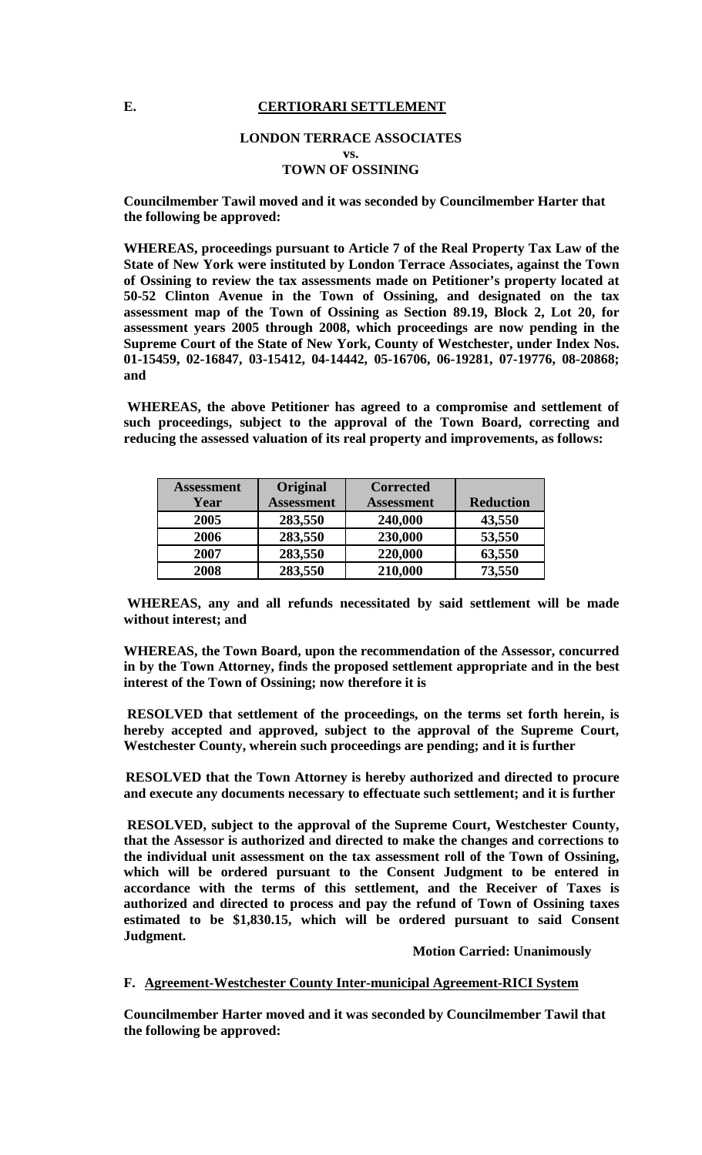## E. **CERTIORARI SETTLEMENT**

#### **LONDON TERRACE ASSOCIATES**

**vs.**

# **TOWN OF OSSINING**

**Councilmember Tawil moved and it was seconded by Councilmember Harter that the following be approved:**

**WHEREAS, proceedings pursuant to Article 7 of the Real Property Tax Law of the State of New York were instituted by London Terrace Associates, against the Town of Ossining to review the tax assessments made on Petitioner's property located at 50-52 Clinton Avenue in the Town of Ossining, and designated on the tax assessment map of the Town of Ossining as Section 89.19, Block 2, Lot 20, for assessment years 2005 through 2008, which proceedings are now pending in the Supreme Court of the State of New York, County of Westchester, under Index Nos. 01-15459, 02-16847, 03-15412, 04-14442, 05-16706, 06-19281, 07-19776, 08-20868; and**

**WHEREAS, the above Petitioner has agreed to a compromise and settlement of such proceedings, subject to the approval of the Town Board, correcting and reducing the assessed valuation of its real property and improvements, as follows:**

| <b>Assessment</b> | Original          | <b>Corrected</b>  |                  |
|-------------------|-------------------|-------------------|------------------|
| Year              | <b>Assessment</b> | <b>Assessment</b> | <b>Reduction</b> |
| 2005              | 283,550           | 240,000           | 43,550           |
| 2006              | 283,550           | 230,000           | 53,550           |
| 2007              | 283,550           | 220,000           | 63,550           |
| 2008              | 283,550           | 210,000           | 73,550           |

**WHEREAS, any and all refunds necessitated by said settlement will be made without interest; and**

**WHEREAS, the Town Board, upon the recommendation of the Assessor, concurred in by the Town Attorney, finds the proposed settlement appropriate and in the best interest of the Town of Ossining; now therefore it is**

**RESOLVED that settlement of the proceedings, on the terms set forth herein, is hereby accepted and approved, subject to the approval of the Supreme Court, Westchester County, wherein such proceedings are pending; and it is further**

**RESOLVED that the Town Attorney is hereby authorized and directed to procure and execute any documents necessary to effectuate such settlement; and it is further**

**RESOLVED, subject to the approval of the Supreme Court, Westchester County, that the Assessor is authorized and directed to make the changes and corrections to the individual unit assessment on the tax assessment roll of the Town of Ossining, which will be ordered pursuant to the Consent Judgment to be entered in accordance with the terms of this settlement, and the Receiver of Taxes is authorized and directed to process and pay the refund of Town of Ossining taxes estimated to be \$1,830.15, which will be ordered pursuant to said Consent Judgment.**

## **Motion Carried: Unanimously**

#### **F. Agreement-Westchester County Inter-municipal Agreement-RICI System**

**Councilmember Harter moved and it was seconded by Councilmember Tawil that the following be approved:**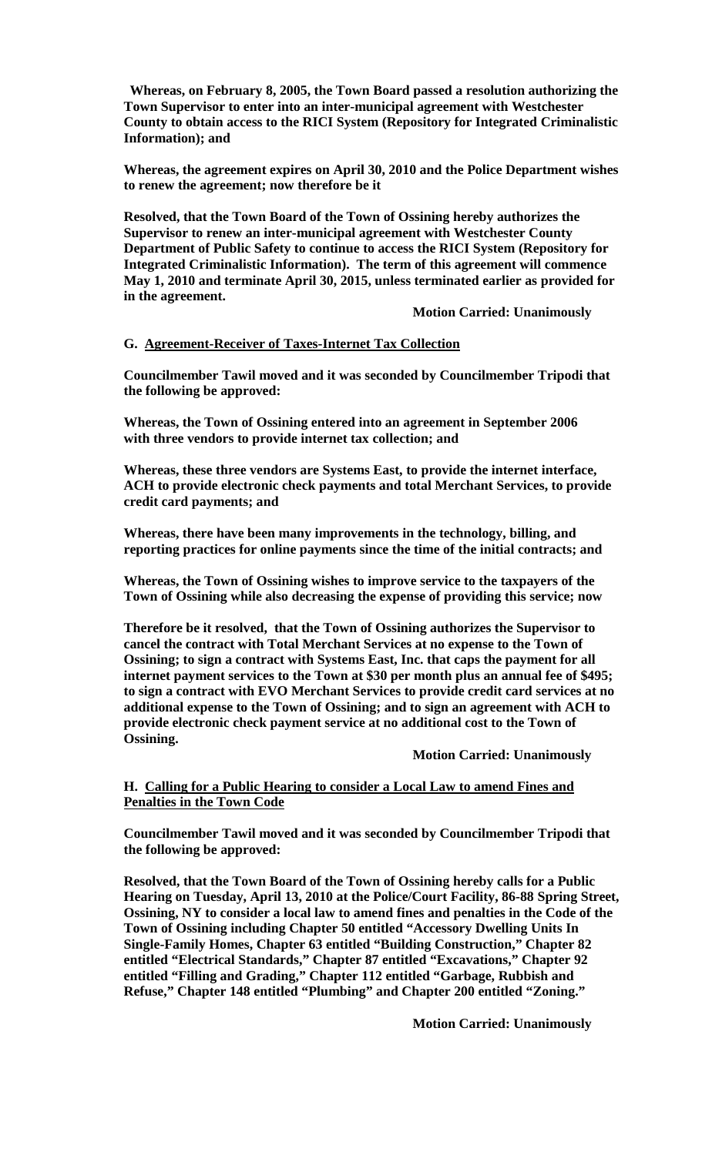**Whereas, on February 8, 2005, the Town Board passed a resolution authorizing the Town Supervisor to enter into an inter-municipal agreement with Westchester County to obtain access to the RICI System (Repository for Integrated Criminalistic Information); and**

**Whereas, the agreement expires on April 30, 2010 and the Police Department wishes to renew the agreement; now therefore be it**

**Resolved, that the Town Board of the Town of Ossining hereby authorizes the Supervisor to renew an inter-municipal agreement with Westchester County Department of Public Safety to continue to access the RICI System (Repository for Integrated Criminalistic Information). The term of this agreement will commence May 1, 2010 and terminate April 30, 2015, unless terminated earlier as provided for in the agreement.** 

**Motion Carried: Unanimously**

#### **G. Agreement-Receiver of Taxes-Internet Tax Collection**

**Councilmember Tawil moved and it was seconded by Councilmember Tripodi that the following be approved:**

**Whereas, the Town of Ossining entered into an agreement in September 2006 with three vendors to provide internet tax collection; and**

**Whereas, these three vendors are Systems East, to provide the internet interface, ACH to provide electronic check payments and total Merchant Services, to provide credit card payments; and**

**Whereas, there have been many improvements in the technology, billing, and reporting practices for online payments since the time of the initial contracts; and**

**Whereas, the Town of Ossining wishes to improve service to the taxpayers of the Town of Ossining while also decreasing the expense of providing this service; now**

**Therefore be it resolved, that the Town of Ossining authorizes the Supervisor to cancel the contract with Total Merchant Services at no expense to the Town of Ossining; to sign a contract with Systems East, Inc. that caps the payment for all internet payment services to the Town at \$30 per month plus an annual fee of \$495; to sign a contract with EVO Merchant Services to provide credit card services at no additional expense to the Town of Ossining; and to sign an agreement with ACH to provide electronic check payment service at no additional cost to the Town of Ossining.**

**Motion Carried: Unanimously**

**H. Calling for a Public Hearing to consider a Local Law to amend Fines and Penalties in the Town Code**

**Councilmember Tawil moved and it was seconded by Councilmember Tripodi that the following be approved:**

**Resolved, that the Town Board of the Town of Ossining hereby calls for a Public Hearing on Tuesday, April 13, 2010 at the Police/Court Facility, 86-88 Spring Street, Ossining, NY to consider a local law to amend fines and penalties in the Code of the Town of Ossining including Chapter 50 entitled "Accessory Dwelling Units In Single-Family Homes, Chapter 63 entitled "Building Construction," Chapter 82 entitled "Electrical Standards," Chapter 87 entitled "Excavations," Chapter 92 entitled "Filling and Grading," Chapter 112 entitled "Garbage, Rubbish and Refuse," Chapter 148 entitled "Plumbing" and Chapter 200 entitled "Zoning."**

**Motion Carried: Unanimously**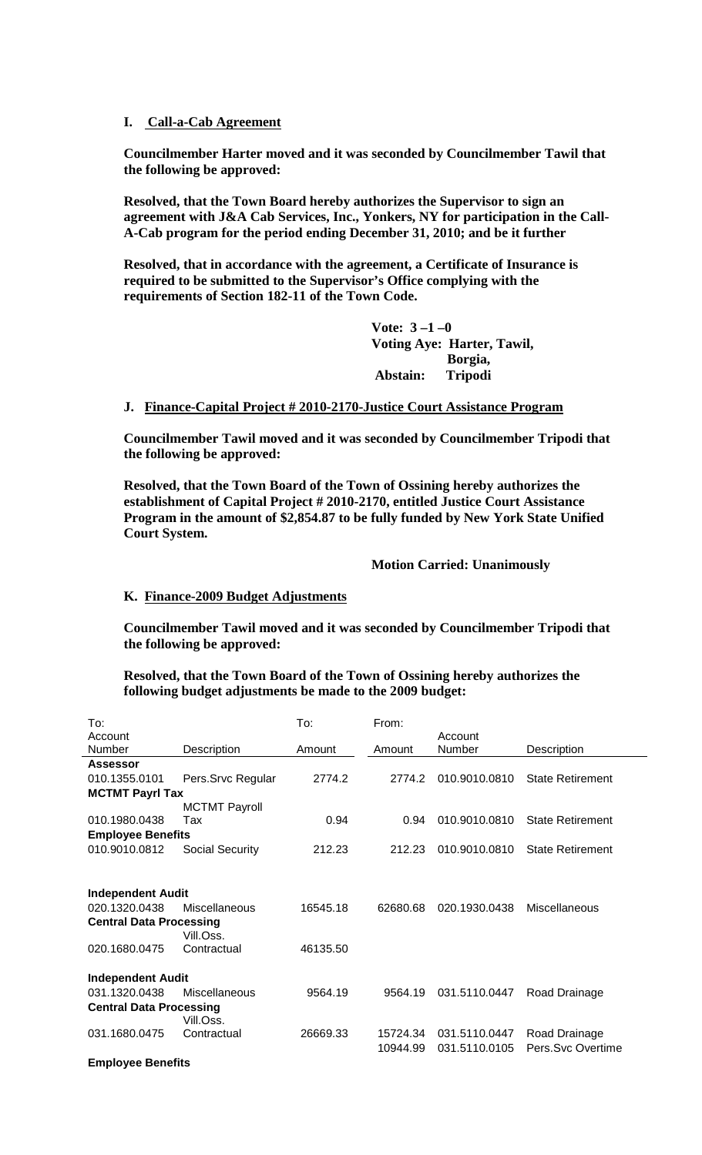## **I. Call-a-Cab Agreement**

**Councilmember Harter moved and it was seconded by Councilmember Tawil that the following be approved:**

**Resolved, that the Town Board hereby authorizes the Supervisor to sign an agreement with J&A Cab Services, Inc., Yonkers, NY for participation in the Call-A-Cab program for the period ending December 31, 2010; and be it further** 

**Resolved, that in accordance with the agreement, a Certificate of Insurance is required to be submitted to the Supervisor's Office complying with the requirements of Section 182-11 of the Town Code.**

> **Vote: 3 –1 –0 Voting Aye: Harter, Tawil, Borgia, Abstain: Tripodi**

#### **J. Finance-Capital Project # 2010-2170-Justice Court Assistance Program**

**Councilmember Tawil moved and it was seconded by Councilmember Tripodi that the following be approved:**

**Resolved, that the Town Board of the Town of Ossining hereby authorizes the establishment of Capital Project # 2010-2170, entitled Justice Court Assistance Program in the amount of \$2,854.87 to be fully funded by New York State Unified Court System.**

#### **Motion Carried: Unanimously**

#### **K. Finance-2009 Budget Adjustments**

**Councilmember Tawil moved and it was seconded by Councilmember Tripodi that the following be approved:**

**Resolved, that the Town Board of the Town of Ossining hereby authorizes the following budget adjustments be made to the 2009 budget:**

| To:                            |                      | To:      | From:    |               |                         |  |
|--------------------------------|----------------------|----------|----------|---------------|-------------------------|--|
| Account                        |                      |          |          | Account       |                         |  |
| Number                         | Description          | Amount   | Amount   | Number        | Description             |  |
| Assessor                       |                      |          |          |               |                         |  |
| 010.1355.0101                  | Pers.Srvc Regular    | 2774.2   | 2774.2   | 010.9010.0810 | <b>State Retirement</b> |  |
| <b>MCTMT Payrl Tax</b>         |                      |          |          |               |                         |  |
|                                | <b>MCTMT Payroll</b> |          |          |               |                         |  |
| 010.1980.0438                  | Tax                  | 0.94     | 0.94     | 010.9010.0810 | <b>State Retirement</b> |  |
| <b>Employee Benefits</b>       |                      |          |          |               |                         |  |
| 010.9010.0812                  | Social Security      | 212.23   | 212.23   | 010.9010.0810 | <b>State Retirement</b> |  |
|                                |                      |          |          |               |                         |  |
|                                |                      |          |          |               |                         |  |
| <b>Independent Audit</b>       |                      |          |          |               |                         |  |
| 020.1320.0438                  | Miscellaneous        | 16545.18 | 62680.68 | 020.1930.0438 | Miscellaneous           |  |
| <b>Central Data Processing</b> |                      |          |          |               |                         |  |
|                                | Vill.Oss.            |          |          |               |                         |  |
| 020.1680.0475                  | Contractual          | 46135.50 |          |               |                         |  |
|                                |                      |          |          |               |                         |  |
| <b>Independent Audit</b>       |                      |          |          |               |                         |  |
| 031.1320.0438                  | Miscellaneous        | 9564.19  | 9564.19  | 031.5110.0447 | Road Drainage           |  |
| <b>Central Data Processing</b> |                      |          |          |               |                         |  |
|                                | Vill.Oss.            |          |          |               |                         |  |
| 031.1680.0475                  | Contractual          | 26669.33 | 15724.34 | 031.5110.0447 | Road Drainage           |  |
|                                |                      |          | 10944.99 | 031.5110.0105 | Pers.Svc Overtime       |  |
| <b>Employee Benefits</b>       |                      |          |          |               |                         |  |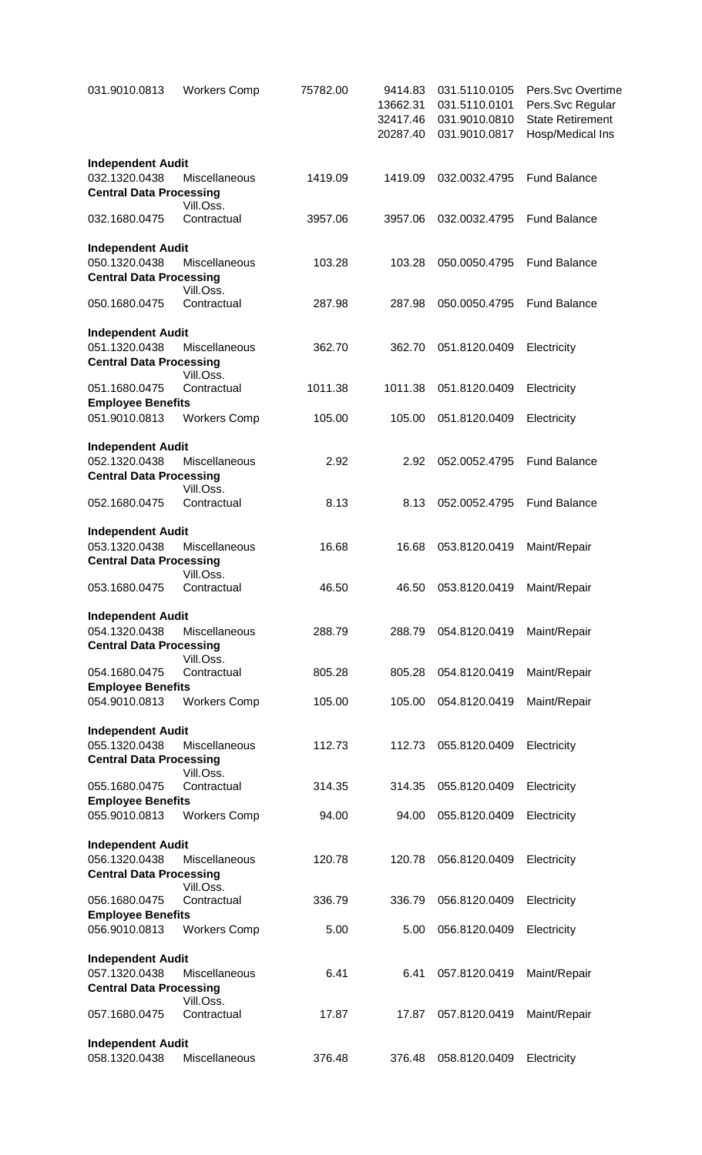| 031.9010.0813                                                               | <b>Workers Comp</b>        | 75782.00 | 9414.83<br>13662.31<br>32417.46<br>20287.40 | 031.5110.0105<br>031.5110.0101<br>031.9010.0810<br>031.9010.0817 | Pers.Svc Overtime<br>Pers.Svc Regular<br><b>State Retirement</b><br>Hosp/Medical Ins |
|-----------------------------------------------------------------------------|----------------------------|----------|---------------------------------------------|------------------------------------------------------------------|--------------------------------------------------------------------------------------|
| <b>Independent Audit</b><br>032.1320.0438                                   | Miscellaneous              | 1419.09  | 1419.09                                     | 032.0032.4795                                                    | <b>Fund Balance</b>                                                                  |
| <b>Central Data Processing</b>                                              | Vill.Oss.                  |          |                                             |                                                                  |                                                                                      |
| 032.1680.0475                                                               | Contractual                | 3957.06  | 3957.06                                     | 032.0032.4795                                                    | <b>Fund Balance</b>                                                                  |
| <b>Independent Audit</b><br>050.1320.0438<br><b>Central Data Processing</b> | Miscellaneous              | 103.28   | 103.28                                      | 050.0050.4795                                                    | <b>Fund Balance</b>                                                                  |
| 050.1680.0475                                                               | Vill.Oss.<br>Contractual   | 287.98   | 287.98                                      | 050.0050.4795                                                    | <b>Fund Balance</b>                                                                  |
| <b>Independent Audit</b><br>051.1320.0438<br><b>Central Data Processing</b> | Miscellaneous              | 362.70   | 362.70                                      | 051.8120.0409                                                    | Electricity                                                                          |
| 051.1680.0475                                                               | Vill.Oss.<br>Contractual   | 1011.38  | 1011.38                                     | 051.8120.0409                                                    | Electricity                                                                          |
| <b>Employee Benefits</b><br>051.9010.0813                                   | <b>Workers Comp</b>        | 105.00   | 105.00                                      | 051.8120.0409                                                    | Electricity                                                                          |
|                                                                             |                            |          |                                             |                                                                  |                                                                                      |
| <b>Independent Audit</b><br>052.1320.0438<br><b>Central Data Processing</b> | Miscellaneous              | 2.92     | 2.92                                        | 052.0052.4795                                                    | <b>Fund Balance</b>                                                                  |
| 052.1680.0475                                                               | Vill.Oss.<br>Contractual   | 8.13     | 8.13                                        | 052.0052.4795                                                    | <b>Fund Balance</b>                                                                  |
| <b>Independent Audit</b><br>053.1320.0438                                   | Miscellaneous              | 16.68    | 16.68                                       | 053.8120.0419                                                    | Maint/Repair                                                                         |
| <b>Central Data Processing</b><br>053.1680.0475                             | Vill.Oss.<br>Contractual   | 46.50    | 46.50                                       | 053.8120.0419                                                    | Maint/Repair                                                                         |
|                                                                             |                            |          |                                             |                                                                  |                                                                                      |
| <b>Independent Audit</b><br>054.1320.0438<br><b>Central Data Processing</b> | Miscellaneous              | 288.79   | 288.79                                      | 054.8120.0419                                                    | Maint/Repair                                                                         |
| 054.1680.0475                                                               | Vill.Oss.<br>Contractual   | 805.28   | 805.28                                      | 054.8120.0419                                                    | Maint/Repair                                                                         |
| <b>Employee Benefits</b><br>054.9010.0813                                   | <b>Workers Comp</b>        | 105.00   | 105.00                                      | 054.8120.0419                                                    | Maint/Repair                                                                         |
| <b>Independent Audit</b>                                                    |                            |          |                                             |                                                                  |                                                                                      |
| 055.1320.0438<br><b>Central Data Processing</b>                             | Miscellaneous<br>Vill.Oss. | 112.73   | 112.73                                      | 055.8120.0409                                                    | Electricity                                                                          |
| 055.1680.0475<br><b>Employee Benefits</b>                                   | Contractual                | 314.35   | 314.35                                      | 055.8120.0409                                                    | Electricity                                                                          |
| 055.9010.0813                                                               | <b>Workers Comp</b>        | 94.00    | 94.00                                       | 055.8120.0409                                                    | Electricity                                                                          |
| <b>Independent Audit</b>                                                    |                            |          |                                             |                                                                  |                                                                                      |
| 056.1320.0438<br><b>Central Data Processing</b>                             | Miscellaneous              | 120.78   | 120.78                                      | 056.8120.0409                                                    | Electricity                                                                          |
| 056.1680.0475                                                               | Vill.Oss.<br>Contractual   | 336.79   | 336.79                                      | 056.8120.0409                                                    | Electricity                                                                          |
| <b>Employee Benefits</b><br>056.9010.0813                                   | <b>Workers Comp</b>        | 5.00     | 5.00                                        | 056.8120.0409                                                    | Electricity                                                                          |
| <b>Independent Audit</b>                                                    |                            |          |                                             |                                                                  |                                                                                      |
| 057.1320.0438                                                               | Miscellaneous              | 6.41     | 6.41                                        | 057.8120.0419                                                    | Maint/Repair                                                                         |
| <b>Central Data Processing</b>                                              | Vill.Oss.                  |          |                                             |                                                                  |                                                                                      |
| 057.1680.0475                                                               | Contractual                | 17.87    | 17.87                                       | 057.8120.0419                                                    | Maint/Repair                                                                         |
| <b>Independent Audit</b><br>058.1320.0438                                   | Miscellaneous              | 376.48   | 376.48                                      | 058.8120.0409                                                    | Electricity                                                                          |
|                                                                             |                            |          |                                             |                                                                  |                                                                                      |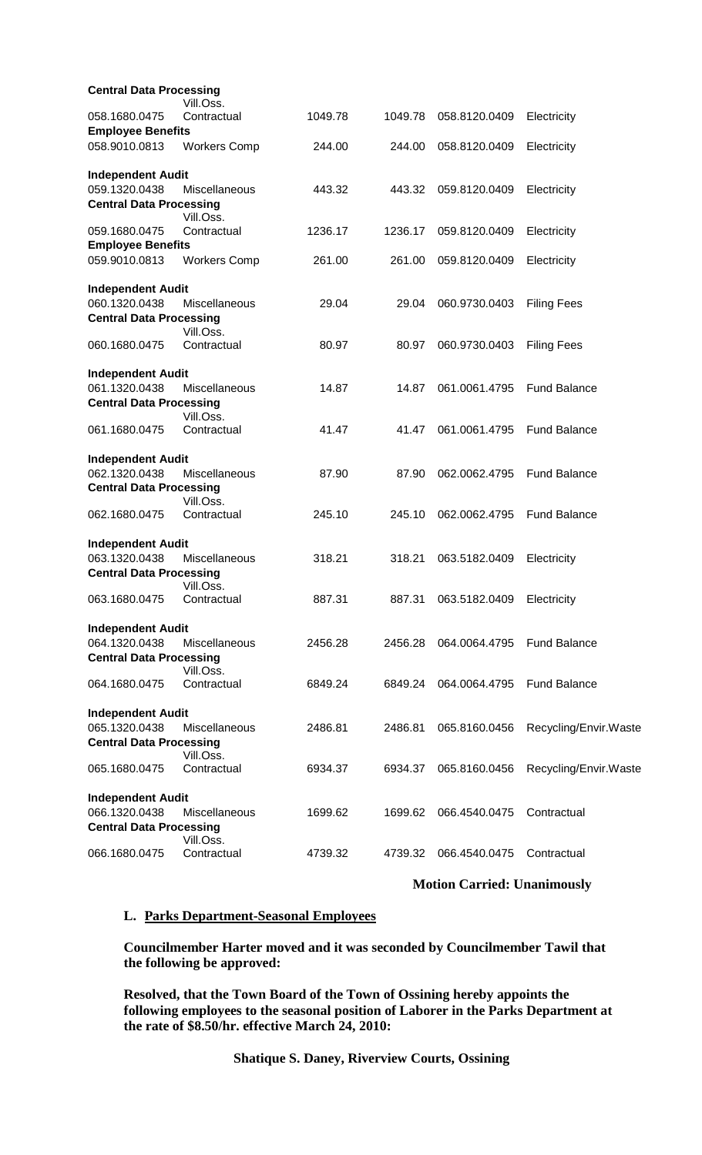| <b>Central Data Processing</b>            |                      |         |         |                           |                       |
|-------------------------------------------|----------------------|---------|---------|---------------------------|-----------------------|
|                                           | Vill.Oss.            |         |         |                           |                       |
| 058.1680.0475                             | Contractual          | 1049.78 | 1049.78 | 058.8120.0409             | Electricity           |
| <b>Employee Benefits</b>                  |                      |         |         |                           |                       |
| 058.9010.0813                             | <b>Workers Comp</b>  | 244.00  | 244.00  | 058.8120.0409             | Electricity           |
| <b>Independent Audit</b>                  |                      |         |         |                           |                       |
| 059.1320.0438                             | Miscellaneous        | 443.32  | 443.32  | 059.8120.0409             | Electricity           |
| <b>Central Data Processing</b>            |                      |         |         |                           |                       |
|                                           | Vill.Oss.            |         |         |                           |                       |
| 059.1680.0475                             | Contractual          | 1236.17 | 1236.17 | 059.8120.0409             | Electricity           |
| <b>Employee Benefits</b><br>059.9010.0813 | <b>Workers Comp</b>  | 261.00  | 261.00  | 059.8120.0409             | Electricity           |
|                                           |                      |         |         |                           |                       |
| <b>Independent Audit</b>                  |                      |         |         |                           |                       |
| 060.1320.0438                             | Miscellaneous        | 29.04   | 29.04   | 060.9730.0403             | <b>Filing Fees</b>    |
| <b>Central Data Processing</b>            |                      |         |         |                           |                       |
|                                           | Vill.Oss.            |         |         |                           |                       |
| 060.1680.0475                             | Contractual          | 80.97   | 80.97   | 060.9730.0403             | <b>Filing Fees</b>    |
| <b>Independent Audit</b>                  |                      |         |         |                           |                       |
| 061.1320.0438                             | <b>Miscellaneous</b> | 14.87   | 14.87   | 061.0061.4795             | <b>Fund Balance</b>   |
| <b>Central Data Processing</b>            |                      |         |         |                           |                       |
|                                           | Vill.Oss.            |         |         |                           |                       |
| 061.1680.0475                             | Contractual          | 41.47   | 41.47   | 061.0061.4795             | <b>Fund Balance</b>   |
| <b>Independent Audit</b>                  |                      |         |         |                           |                       |
| 062.1320.0438                             | Miscellaneous        | 87.90   | 87.90   | 062.0062.4795             | <b>Fund Balance</b>   |
| <b>Central Data Processing</b>            |                      |         |         |                           |                       |
|                                           | Vill.Oss.            |         |         |                           |                       |
| 062.1680.0475                             | Contractual          | 245.10  | 245.10  | 062.0062.4795             | <b>Fund Balance</b>   |
| <b>Independent Audit</b>                  |                      |         |         |                           |                       |
| 063.1320.0438                             | Miscellaneous        | 318.21  | 318.21  | 063.5182.0409             | Electricity           |
| <b>Central Data Processing</b>            |                      |         |         |                           |                       |
|                                           | Vill.Oss.            |         |         |                           |                       |
| 063.1680.0475                             | Contractual          | 887.31  | 887.31  | 063.5182.0409 Electricity |                       |
|                                           |                      |         |         |                           |                       |
| <b>Independent Audit</b>                  |                      |         |         |                           |                       |
| 064.1320.0438                             | Miscellaneous        | 2456.28 | 2456.28 | 064.0064.4795             | <b>Fund Balance</b>   |
| <b>Central Data Processing</b>            |                      |         |         |                           |                       |
|                                           | Vill.Oss.            |         |         |                           |                       |
| 064.1680.0475                             | Contractual          | 6849.24 | 6849.24 | 064.0064.4795             | <b>Fund Balance</b>   |
| <b>Independent Audit</b>                  |                      |         |         |                           |                       |
| 065.1320.0438                             | Miscellaneous        | 2486.81 | 2486.81 | 065.8160.0456             | Recycling/Envir.Waste |
| <b>Central Data Processing</b>            |                      |         |         |                           |                       |
|                                           | Vill.Oss.            |         |         |                           |                       |
| 065.1680.0475                             | Contractual          | 6934.37 | 6934.37 | 065.8160.0456             | Recycling/Envir.Waste |
| <b>Independent Audit</b>                  |                      |         |         |                           |                       |
| 066.1320.0438                             | Miscellaneous        | 1699.62 | 1699.62 | 066.4540.0475             | Contractual           |
| <b>Central Data Processing</b>            |                      |         |         |                           |                       |
|                                           | Vill.Oss.            |         |         |                           |                       |
| 066.1680.0475                             | Contractual          | 4739.32 | 4739.32 | 066.4540.0475             | Contractual           |
|                                           |                      |         |         |                           |                       |

## **Motion Carried: Unanimously**

#### **L. Parks Department-Seasonal Employees**

**Councilmember Harter moved and it was seconded by Councilmember Tawil that the following be approved:**

**Resolved, that the Town Board of the Town of Ossining hereby appoints the following employees to the seasonal position of Laborer in the Parks Department at the rate of \$8.50/hr. effective March 24, 2010:**

**Shatique S. Daney, Riverview Courts, Ossining**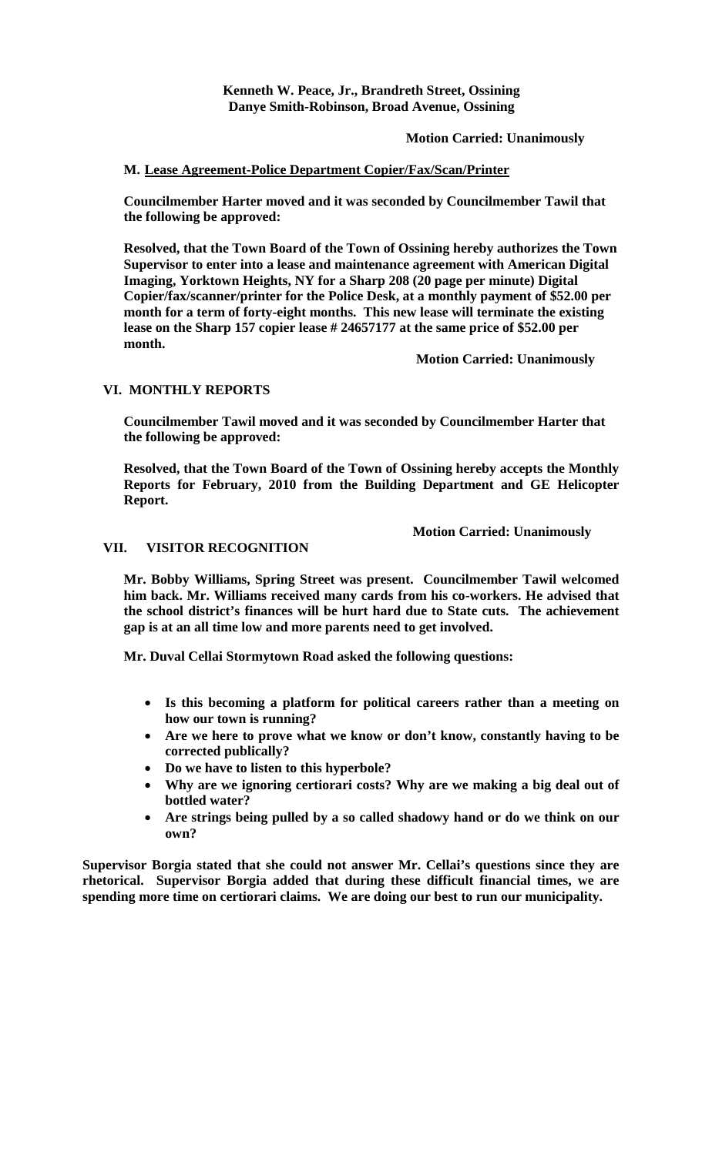**Kenneth W. Peace, Jr., Brandreth Street, Ossining Danye Smith-Robinson, Broad Avenue, Ossining**

#### **Motion Carried: Unanimously**

#### **M. Lease Agreement-Police Department Copier/Fax/Scan/Printer**

**Councilmember Harter moved and it was seconded by Councilmember Tawil that the following be approved:**

**Resolved, that the Town Board of the Town of Ossining hereby authorizes the Town Supervisor to enter into a lease and maintenance agreement with American Digital Imaging, Yorktown Heights, NY for a Sharp 208 (20 page per minute) Digital Copier/fax/scanner/printer for the Police Desk, at a monthly payment of \$52.00 per month for a term of forty-eight months. This new lease will terminate the existing lease on the Sharp 157 copier lease # 24657177 at the same price of \$52.00 per month.**

**Motion Carried: Unanimously**

#### **VI. MONTHLY REPORTS**

**Councilmember Tawil moved and it was seconded by Councilmember Harter that the following be approved:**

**Resolved, that the Town Board of the Town of Ossining hereby accepts the Monthly Reports for February, 2010 from the Building Department and GE Helicopter Report.**

**Motion Carried: Unanimously**

#### **VII. VISITOR RECOGNITION**

**Mr. Bobby Williams, Spring Street was present. Councilmember Tawil welcomed him back. Mr. Williams received many cards from his co-workers. He advised that the school district's finances will be hurt hard due to State cuts. The achievement gap is at an all time low and more parents need to get involved.** 

**Mr. Duval Cellai Stormytown Road asked the following questions:**

- **Is this becoming a platform for political careers rather than a meeting on how our town is running?**
- **Are we here to prove what we know or don't know, constantly having to be corrected publically?**
- **Do we have to listen to this hyperbole?**
- **Why are we ignoring certiorari costs? Why are we making a big deal out of bottled water?**
- **Are strings being pulled by a so called shadowy hand or do we think on our own?**

**Supervisor Borgia stated that she could not answer Mr. Cellai's questions since they are rhetorical. Supervisor Borgia added that during these difficult financial times, we are spending more time on certiorari claims. We are doing our best to run our municipality.**